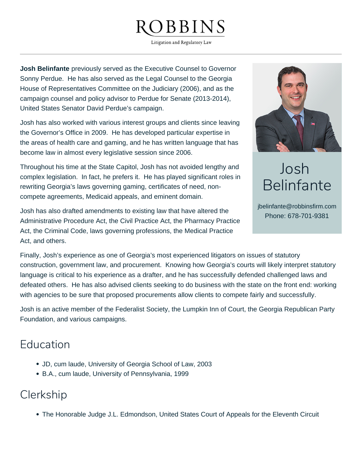# **BBINS**

Litigation and Regulatory Law

**Josh Belinfante** previously served as the Executive Counsel to Governor Sonny Perdue. He has also served as the Legal Counsel to the Georgia House of Representatives Committee on the Judiciary (2006), and as the campaign counsel and policy advisor to Perdue for Senate (2013-2014), United States Senator David Perdue's campaign.

Josh has also worked with various interest groups and clients since leaving the Governor's Office in 2009. He has developed particular expertise in the areas of health care and gaming, and he has written language that has become law in almost every legislative session since 2006.

Throughout his time at the State Capitol, Josh has not avoided lengthy and complex legislation. In fact, he prefers it. He has played significant roles in rewriting Georgia's laws governing gaming, certificates of need, noncompete agreements, Medicaid appeals, and eminent domain.



# Josh Belinfante

jbelinfante@robbinsfirm.com Phone: 678-701-9381

Josh has also drafted amendments to existing law that have altered the Administrative Procedure Act, the Civil Practice Act, the Pharmacy Practice Act, the Criminal Code, laws governing professions, the Medical Practice Act, and others.

Finally, Josh's experience as one of Georgia's most experienced litigators on issues of statutory construction, government law, and procurement. Knowing how Georgia's courts will likely interpret statutory language is critical to his experience as a drafter, and he has successfully defended challenged laws and defeated others. He has also advised clients seeking to do business with the state on the front end: working with agencies to be sure that proposed procurements allow clients to compete fairly and successfully.

Josh is an active member of the Federalist Society, the Lumpkin Inn of Court, the Georgia Republican Party Foundation, and various campaigns.

# Education

- JD, cum laude, University of Georgia School of Law, 2003
- B.A., cum laude, University of Pennsylvania, 1999

#### Clerkship

The Honorable Judge J.L. Edmondson, United States Court of Appeals for the Eleventh Circuit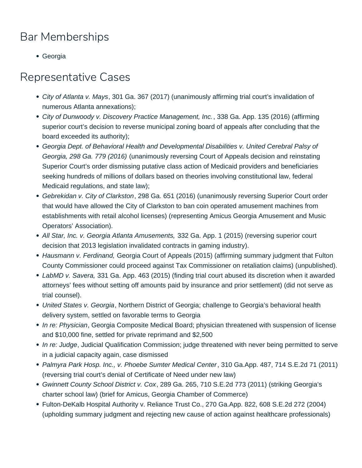# Bar Memberships

Georgia

# Representative Cases

- City of Atlanta v. Mays, 301 Ga. 367 (2017) (unanimously affirming trial court's invalidation of numerous Atlanta annexations);
- City of Dunwoody v. Discovery Practice Management, Inc., 338 Ga. App. 135 (2016) (affirming superior court's decision to reverse municipal zoning board of appeals after concluding that the board exceeded its authority);
- Georgia Dept. of Behavioral Health and Developmental Disabilities v. United Cerebral Palsy of Georgia, 298 Ga. 779 (2016) (unanimously reversing Court of Appeals decision and reinstating Superior Court's order dismissing putative class action of Medicaid providers and beneficiaries seeking hundreds of millions of dollars based on theories involving constitutional law, federal Medicaid regulations, and state law);
- Gebrekidan v. City of Clarkston, 298 Ga. 651 (2016) (unanimously reversing Superior Court order that would have allowed the City of Clarkston to ban coin operated amusement machines from establishments with retail alcohol licenses) (representing Amicus Georgia Amusement and Music Operators' Association).
- All Star, Inc. v. Georgia Atlanta Amusements, 332 Ga. App. 1 (2015) (reversing superior court decision that 2013 legislation invalidated contracts in gaming industry).
- Hausmann v. Ferdinand, Georgia Court of Appeals (2015) (affirming summary judgment that Fulton County Commissioner could proceed against Tax Commissioner on retaliation claims) (unpublished).
- LabMD v. Savera, 331 Ga. App. 463 (2015) (finding trial court abused its discretion when it awarded attorneys' fees without setting off amounts paid by insurance and prior settlement) (did not serve as trial counsel).
- United States v. Georgia, Northern District of Georgia; challenge to Georgia's behavioral health delivery system, settled on favorable terms to Georgia
- In re: Physician, Georgia Composite Medical Board; physician threatened with suspension of license and \$10,000 fine, settled for private reprimand and \$2,500
- In re: Judge, Judicial Qualification Commission; judge threatened with never being permitted to serve in a judicial capacity again, case dismissed
- Palmyra Park Hosp. Inc., v. Phoebe Sumter Medical Center, 310 Ga.App. 487, 714 S.E.2d 71 (2011) (reversing trial court's denial of Certificate of Need under new law)
- Gwinnett County School District v. Cox, 289 Ga. 265, 710 S.E.2d 773 (2011) (striking Georgia's charter school law) (brief for Amicus, Georgia Chamber of Commerce)
- Fulton-DeKalb Hospital Authority v. Reliance Trust Co., 270 Ga.App. 822, 608 S.E.2d 272 (2004) (upholding summary judgment and rejecting new cause of action against healthcare professionals)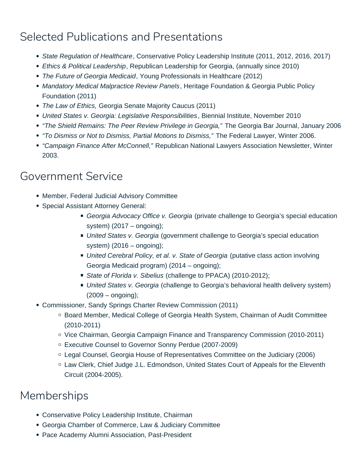# Selected Publications and Presentations

- State Regulation of Healthcare, Conservative Policy Leadership Institute (2011, 2012, 2016, 2017)
- Ethics & Political Leadership, Republican Leadership for Georgia, (annually since 2010)
- The Future of Georgia Medicaid, Young Professionals in Healthcare (2012)
- Mandatory Medical Malpractice Review Panels, Heritage Foundation & Georgia Public Policy Foundation (2011)
- The Law of Ethics, Georgia Senate Majority Caucus (2011)
- United States v. Georgia: Legislative Responsibilities, Biennial Institute, November 2010
- "The Shield Remains: The Peer Review Privilege in Georgia," The Georgia Bar Journal, January 2006
- "To Dismiss or Not to Dismiss, Partial Motions to Dismiss," The Federal Lawyer, Winter 2006.
- "Campaign Finance After McConnell," Republican National Lawyers Association Newsletter, Winter 2003.

#### Government Service

- Member, Federal Judicial Advisory Committee
- Special Assistant Attorney General:
	- Georgia Advocacy Office v. Georgia (private challenge to Georgia's special education system) (2017 – ongoing);
	- United States v. Georgia (government challenge to Georgia's special education system)  $(2016 - \text{ongoing})$ ;
	- United Cerebral Policy, et al. v. State of Georgia (putative class action involving Georgia Medicaid program) (2014 – ongoing);
	- State of Florida v. Sibelius (challenge to PPACA) (2010-2012);
	- United States v. Georgia (challenge to Georgia's behavioral health delivery system) (2009 – ongoing);
- Commissioner, Sandy Springs Charter Review Commission (2011)
	- Board Member, Medical College of Georgia Health System, Chairman of Audit Committee (2010-2011)
	- Vice Chairman, Georgia Campaign Finance and Transparency Commission (2010-2011)
	- Executive Counsel to Governor Sonny Perdue (2007-2009)
	- Legal Counsel, Georgia House of Representatives Committee on the Judiciary (2006)
	- Law Clerk, Chief Judge J.L. Edmondson, United States Court of Appeals for the Eleventh Circuit (2004-2005).

# Memberships

- Conservative Policy Leadership Institute, Chairman
- Georgia Chamber of Commerce, Law & Judiciary Committee
- Pace Academy Alumni Association, Past-President